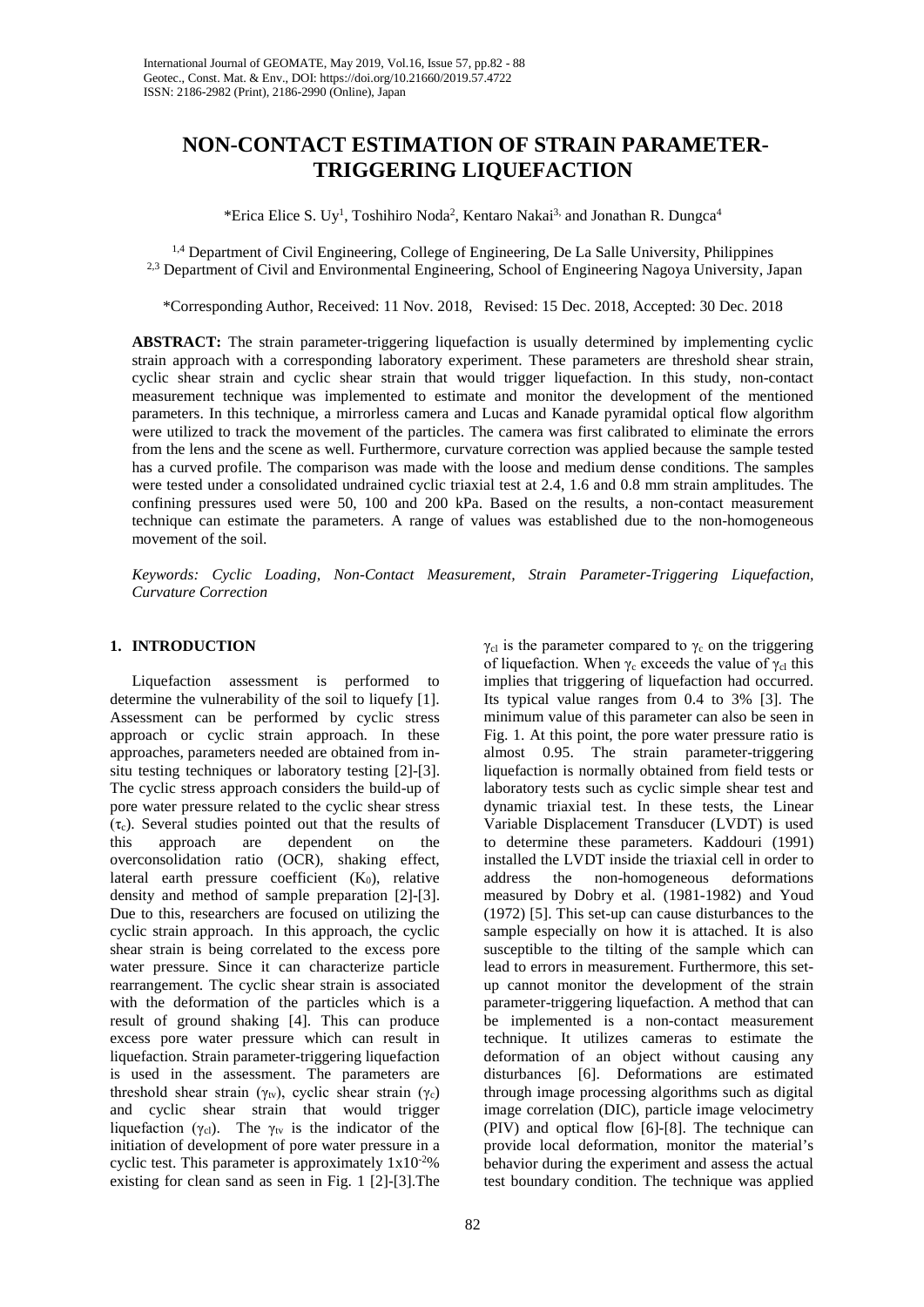# **NON-CONTACT ESTIMATION OF STRAIN PARAMETER-TRIGGERING LIQUEFACTION**

\*Erica Elice S. Uy<sup>1</sup>, Toshihiro Noda<sup>2</sup>, Kentaro Nakai<sup>3,</sup> and Jonathan R. Dungca<sup>4</sup>

1,4 Department of Civil Engineering, College of Engineering, De La Salle University, Philippines <sup>2,3</sup> Department of Civil and Environmental Engineering, School of Engineering Nagoya University, Japan

\*Corresponding Author, Received: 11 Nov. 2018, Revised: 15 Dec. 2018, Accepted: 30 Dec. 2018

**ABSTRACT:** The strain parameter-triggering liquefaction is usually determined by implementing cyclic strain approach with a corresponding laboratory experiment. These parameters are threshold shear strain, cyclic shear strain and cyclic shear strain that would trigger liquefaction. In this study, non-contact measurement technique was implemented to estimate and monitor the development of the mentioned parameters. In this technique, a mirrorless camera and Lucas and Kanade pyramidal optical flow algorithm were utilized to track the movement of the particles. The camera was first calibrated to eliminate the errors from the lens and the scene as well. Furthermore, curvature correction was applied because the sample tested has a curved profile. The comparison was made with the loose and medium dense conditions. The samples were tested under a consolidated undrained cyclic triaxial test at 2.4, 1.6 and 0.8 mm strain amplitudes. The confining pressures used were 50, 100 and 200 kPa. Based on the results, a non-contact measurement technique can estimate the parameters. A range of values was established due to the non-homogeneous movement of the soil.

*Keywords: Cyclic Loading, Non-Contact Measurement, Strain Parameter-Triggering Liquefaction, Curvature Correction*

# **1. INTRODUCTION**

Liquefaction assessment is performed to determine the vulnerability of the soil to liquefy [1]. Assessment can be performed by cyclic stress approach or cyclic strain approach. In these approaches, parameters needed are obtained from insitu testing techniques or laboratory testing [2]-[3]. The cyclic stress approach considers the build-up of pore water pressure related to the cyclic shear stress  $(\tau_c)$ . Several studies pointed out that the results of this approach are dependent on the dependent on the overconsolidation ratio (OCR), shaking effect, lateral earth pressure coefficient  $(K_0)$ , relative density and method of sample preparation [2]-[3]. Due to this, researchers are focused on utilizing the cyclic strain approach. In this approach, the cyclic shear strain is being correlated to the excess pore water pressure. Since it can characterize particle rearrangement. The cyclic shear strain is associated with the deformation of the particles which is a result of ground shaking [4]. This can produce excess pore water pressure which can result in liquefaction. Strain parameter-triggering liquefaction is used in the assessment. The parameters are threshold shear strain (γ<sub>tv</sub>), cyclic shear strain (γ<sub>c</sub>) and cyclic shear strain that would trigger liquefaction ( $\gamma_{\text{cl}}$ ). The  $\gamma_{\text{tv}}$  is the indicator of the initiation of development of pore water pressure in a cyclic test. This parameter is approximately  $1x10^{-2}\%$ existing for clean sand as seen in Fig. 1 [2]-[3].The

implies that triggering of liquefaction had occurred. Its typical value ranges from 0.4 to 3% [3]. The minimum value of this parameter can also be seen in Fig. 1. At this point, the pore water pressure ratio is almost 0.95. The strain parameter-triggering liquefaction is normally obtained from field tests or laboratory tests such as cyclic simple shear test and dynamic triaxial test. In these tests, the Linear Variable Displacement Transducer (LVDT) is used to determine these parameters. Kaddouri (1991) installed the LVDT inside the triaxial cell in order to address the non-homogeneous deformations measured by Dobry et al. (1981-1982) and Youd (1972) [5]. This set-up can cause disturbances to the sample especially on how it is attached. It is also susceptible to the tilting of the sample which can lead to errors in measurement. Furthermore, this setup cannot monitor the development of the strain parameter-triggering liquefaction. A method that can be implemented is a non-contact measurement technique. It utilizes cameras to estimate the deformation of an object without causing any disturbances [6]. Deformations are estimated through image processing algorithms such as digital image correlation (DIC), particle image velocimetry (PIV) and optical flow [6]-[8]. The technique can provide local deformation, monitor the material's behavior during the experiment and assess the actual test boundary condition. The technique was applied

 $\gamma_{\rm cl}$  is the parameter compared to  $\gamma_{\rm c}$  on the triggering of liquefaction. When  $\gamma_c$  exceeds the value of  $\gamma_{cl}$  this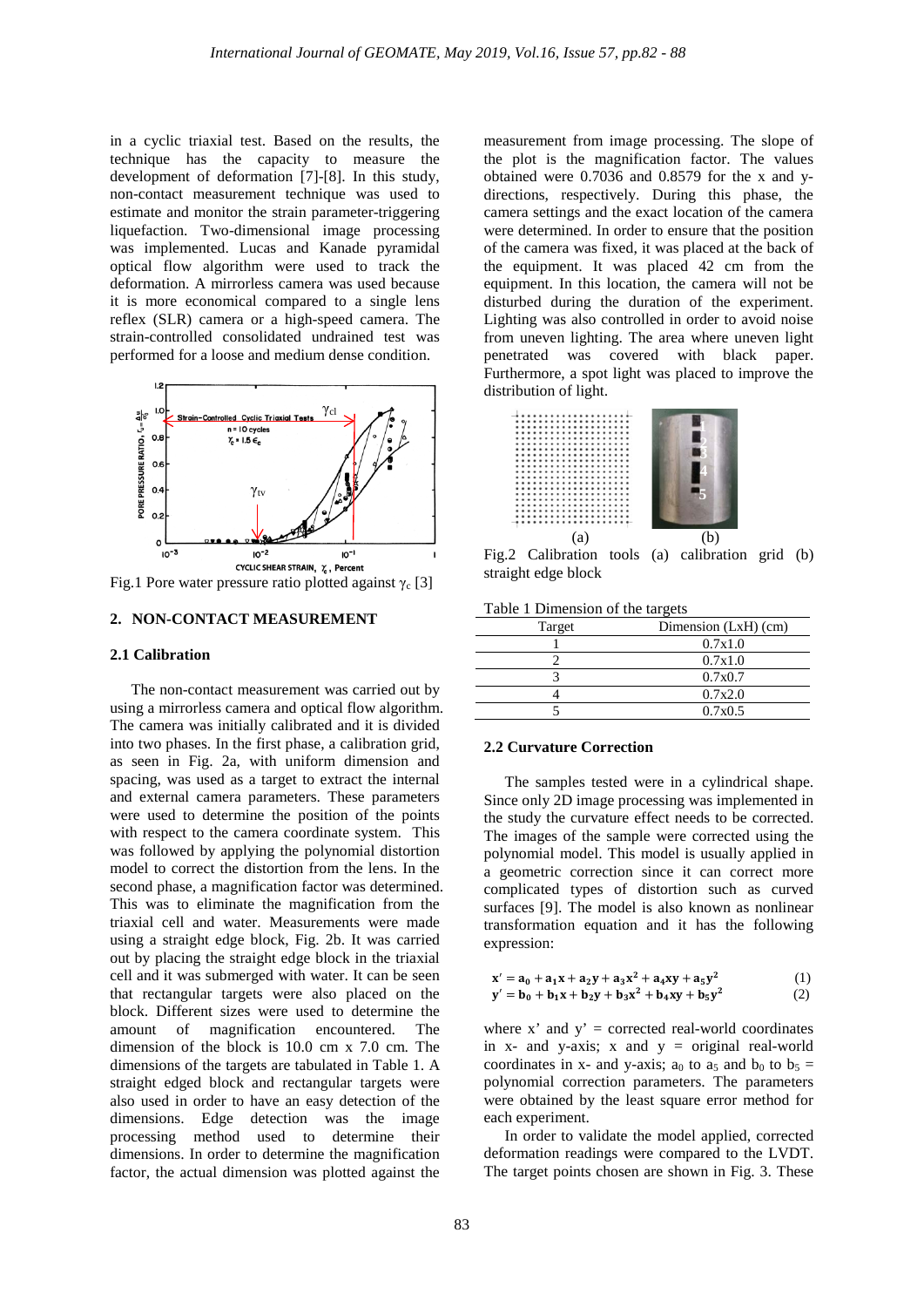in a cyclic triaxial test. Based on the results, the technique has the capacity to measure the development of deformation [7]-[8]. In this study, non-contact measurement technique was used to estimate and monitor the strain parameter-triggering liquefaction. Two-dimensional image processing was implemented. Lucas and Kanade pyramidal optical flow algorithm were used to track the deformation. A mirrorless camera was used because it is more economical compared to a single lens reflex (SLR) camera or a high-speed camera. The strain-controlled consolidated undrained test was performed for a loose and medium dense condition.



Fig.1 Pore water pressure ratio plotted against  $γ<sub>c</sub> [3]$ 

# **2. NON-CONTACT MEASUREMENT**

## **2.1 Calibration**

The non-contact measurement was carried out by using a mirrorless camera and optical flow algorithm. The camera was initially calibrated and it is divided into two phases. In the first phase, a calibration grid, as seen in Fig. 2a, with uniform dimension and spacing, was used as a target to extract the internal and external camera parameters. These parameters were used to determine the position of the points with respect to the camera coordinate system. This was followed by applying the polynomial distortion model to correct the distortion from the lens. In the second phase, a magnification factor was determined. This was to eliminate the magnification from the triaxial cell and water. Measurements were made using a straight edge block, Fig. 2b. It was carried out by placing the straight edge block in the triaxial cell and it was submerged with water. It can be seen that rectangular targets were also placed on the block. Different sizes were used to determine the amount of magnification encountered. The dimension of the block is 10.0 cm x 7.0 cm. The dimensions of the targets are tabulated in Table 1. A straight edged block and rectangular targets were also used in order to have an easy detection of the dimensions. Edge detection was the image processing method used to determine their dimensions. In order to determine the magnification factor, the actual dimension was plotted against the

measurement from image processing. The slope of the plot is the magnification factor. The values obtained were 0.7036 and 0.8579 for the x and ydirections, respectively. During this phase, the camera settings and the exact location of the camera were determined. In order to ensure that the position of the camera was fixed, it was placed at the back of the equipment. It was placed 42 cm from the equipment. In this location, the camera will not be disturbed during the duration of the experiment. Lighting was also controlled in order to avoid noise from uneven lighting. The area where uneven light penetrated was covered with black paper. Furthermore, a spot light was placed to improve the distribution of light.



Fig.2 Calibration tools (a) calibration grid (b) straight edge block

|  | Table 1 Dimension of the targets |  |  |
|--|----------------------------------|--|--|
|--|----------------------------------|--|--|

| Target | Dimension (LxH) (cm) |
|--------|----------------------|
|        | 0.7x1.0              |
|        | 0.7x1.0              |
|        | 0.7x0.7              |
|        | 0.7x2.0              |
|        | 0.7x0.5              |

# **2.2 Curvature Correction**

The samples tested were in a cylindrical shape. Since only 2D image processing was implemented in the study the curvature effect needs to be corrected. The images of the sample were corrected using the polynomial model. This model is usually applied in a geometric correction since it can correct more complicated types of distortion such as curved surfaces [9]. The model is also known as nonlinear transformation equation and it has the following expression:

$$
x' = a_0 + a_1x + a_2y + a_3x^2 + a_4xy + a_5y^2
$$
  
\n
$$
y' = b_0 + b_1x + b_2y + b_3x^2 + b_4xy + b_5y^2
$$
\n(1)

where  $x'$  and  $y'$  = corrected real-world coordinates in  $x$ - and  $y$ -axis;  $x$  and  $y =$  original real-world coordinates in x- and y-axis; a<sub>0</sub> to a<sub>5</sub> and b<sub>0</sub> to b<sub>5</sub> = polynomial correction parameters. The parameters were obtained by the least square error method for each experiment.

In order to validate the model applied, corrected deformation readings were compared to the LVDT. The target points chosen are shown in Fig. 3. These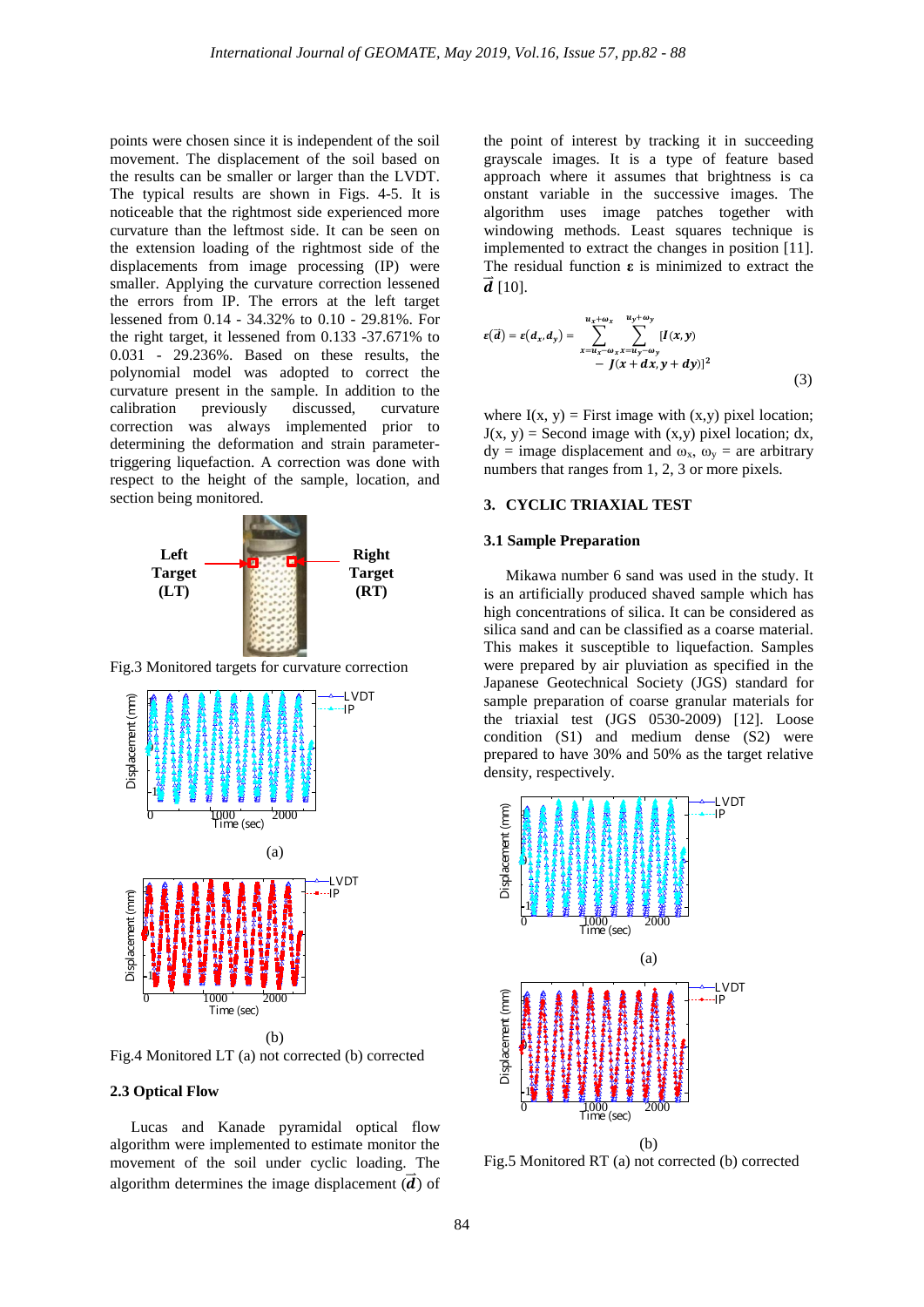points were chosen since it is independent of the soil movement. The displacement of the soil based on the results can be smaller or larger than the LVDT. The typical results are shown in Figs. 4-5. It is noticeable that the rightmost side experienced more curvature than the leftmost side. It can be seen on the extension loading of the rightmost side of the displacements from image processing (IP) were smaller. Applying the curvature correction lessened the errors from IP. The errors at the left target lessened from 0.14 - 34.32% to 0.10 - 29.81%. For the right target, it lessened from 0.133 -37.671% to 0.031 - 29.236%. Based on these results, the polynomial model was adopted to correct the curvature present in the sample. In addition to the calibration previously discussed, curvature correction was always implemented prior to determining the deformation and strain parametertriggering liquefaction. A correction was done with respect to the height of the sample, location, and section being monitored.



Fig.3 Monitored targets for curvature correction



Fig.4 Monitored LT (a) not corrected (b) corrected

#### **2.3 Optical Flow**

Lucas and Kanade pyramidal optical flow algorithm were implemented to estimate monitor the movement of the soil under cyclic loading. The algorithm determines the image displacement  $(d)$  of the point of interest by tracking it in succeeding grayscale images. It is a type of feature based approach where it assumes that brightness is ca onstant variable in the successive images. The algorithm uses image patches together with windowing methods. Least squares technique is implemented to extract the changes in position [11]. The residual function **ε** is minimized to extract the  $d$  [10].

$$
\varepsilon(\vec{a}) = \varepsilon(d_x, d_y) = \sum_{x=u_x-\omega_x}^{u_x+\omega_x} \sum_{x=u_y-\omega_y}^{u_y+\omega_y} [I(x, y) - J(x + dx, y + dy)]^2
$$
\n(3)

where  $I(x, y) =$  First image with  $(x,y)$  pixel location;  $J(x, y)$  = Second image with  $(x,y)$  pixel location; dx,  $dy = image$  displacement and  $\omega_x$ ,  $\omega_y =$  are arbitrary numbers that ranges from 1, 2, 3 or more pixels.

#### **3. CYCLIC TRIAXIAL TEST**

## **3.1 Sample Preparation**

Mikawa number 6 sand was used in the study. It is an artificially produced shaved sample which has high concentrations of silica. It can be considered as silica sand and can be classified as a coarse material. This makes it susceptible to liquefaction. Samples were prepared by air pluviation as specified in the Japanese Geotechnical Society (JGS) standard for sample preparation of coarse granular materials for the triaxial test (JGS 0530-2009) [12]. Loose condition (S1) and medium dense (S2) were prepared to have 30% and 50% as the target relative density, respectively.



Fig.5 Monitored RT (a) not corrected (b) corrected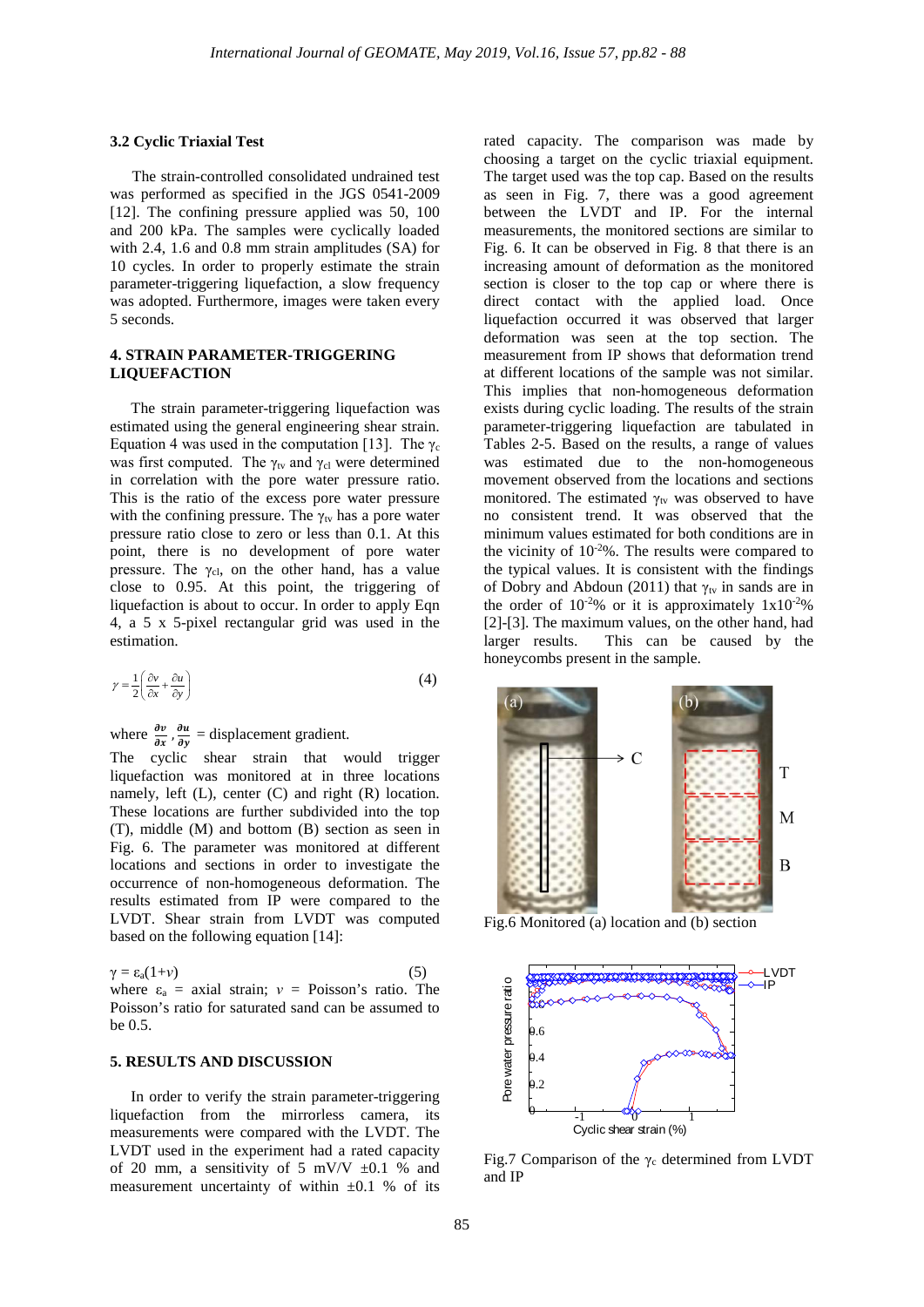#### **3.2 Cyclic Triaxial Test**

The strain-controlled consolidated undrained test was performed as specified in the JGS 0541-2009 [12]. The confining pressure applied was 50, 100 and 200 kPa. The samples were cyclically loaded with 2.4, 1.6 and 0.8 mm strain amplitudes (SA) for 10 cycles. In order to properly estimate the strain parameter-triggering liquefaction, a slow frequency was adopted. Furthermore, images were taken every 5 seconds.

## **4. STRAIN PARAMETER-TRIGGERING LIQUEFACTION**

The strain parameter-triggering liquefaction was estimated using the general engineering shear strain. Equation 4 was used in the computation [13]. The  $\gamma_c$ was first computed. The  $\gamma_{tv}$  and  $\gamma_{cl}$  were determined in correlation with the pore water pressure ratio. This is the ratio of the excess pore water pressure with the confining pressure. The  $\gamma_{\text{tv}}$  has a pore water pressure ratio close to zero or less than 0.1. At this point, there is no development of pore water pressure. The  $\gamma_{\text{cl}}$ , on the other hand, has a value close to 0.95. At this point, the triggering of liquefaction is about to occur. In order to apply Eqn 4, a 5 x 5-pixel rectangular grid was used in the estimation.

$$
\gamma = \frac{1}{2} \left( \frac{\partial v}{\partial x} + \frac{\partial u}{\partial y} \right) \tag{4}
$$

where  $\frac{\partial v}{\partial x}$ ,  $\frac{\partial u}{\partial y}$  = displacement gradient.

The cyclic shear strain that would trigger liquefaction was monitored at in three locations namely, left (L), center (C) and right (R) location. These locations are further subdivided into the top (T), middle (M) and bottom (B) section as seen in Fig. 6. The parameter was monitored at different locations and sections in order to investigate the occurrence of non-homogeneous deformation. The results estimated from IP were compared to the LVDT. Shear strain from LVDT was computed based on the following equation [14]:

$$
\gamma = \varepsilon_a (1 + \nu) \tag{5}
$$

where  $\varepsilon_a$  = axial strain;  $v =$  Poisson's ratio. The Poisson's ratio for saturated sand can be assumed to be 0.5.

#### **5. RESULTS AND DISCUSSION**

In order to verify the strain parameter-triggering liquefaction from the mirrorless camera, its measurements were compared with the LVDT. The LVDT used in the experiment had a rated capacity of 20 mm, a sensitivity of 5 mV/V  $\pm 0.1$  % and measurement uncertainty of within ±0.1 % of its

rated capacity. The comparison was made by choosing a target on the cyclic triaxial equipment. The target used was the top cap. Based on the results as seen in Fig. 7, there was a good agreement between the LVDT and IP. For the internal measurements, the monitored sections are similar to Fig. 6. It can be observed in Fig. 8 that there is an increasing amount of deformation as the monitored section is closer to the top cap or where there is direct contact with the applied load. Once liquefaction occurred it was observed that larger deformation was seen at the top section. The measurement from IP shows that deformation trend at different locations of the sample was not similar. This implies that non-homogeneous deformation exists during cyclic loading. The results of the strain parameter-triggering liquefaction are tabulated in Tables 2-5. Based on the results, a range of values was estimated due to the non-homogeneous movement observed from the locations and sections monitored. The estimated  $\gamma_{tv}$  was observed to have no consistent trend. It was observed that the minimum values estimated for both conditions are in the vicinity of  $10^{-2}\%$ . The results were compared to the typical values. It is consistent with the findings of Dobry and Abdoun (2011) that  $\gamma_{\text{tv}}$  in sands are in the order of  $10^{-2}\%$  or it is approximately  $1x10^{-2}\%$ [2]-[3]. The maximum values, on the other hand, had larger results. This can be caused by the honeycombs present in the sample.



Fig.6 Monitored (a) location and (b) section



Fig.7 Comparison of the  $\gamma_c$  determined from LVDT and IP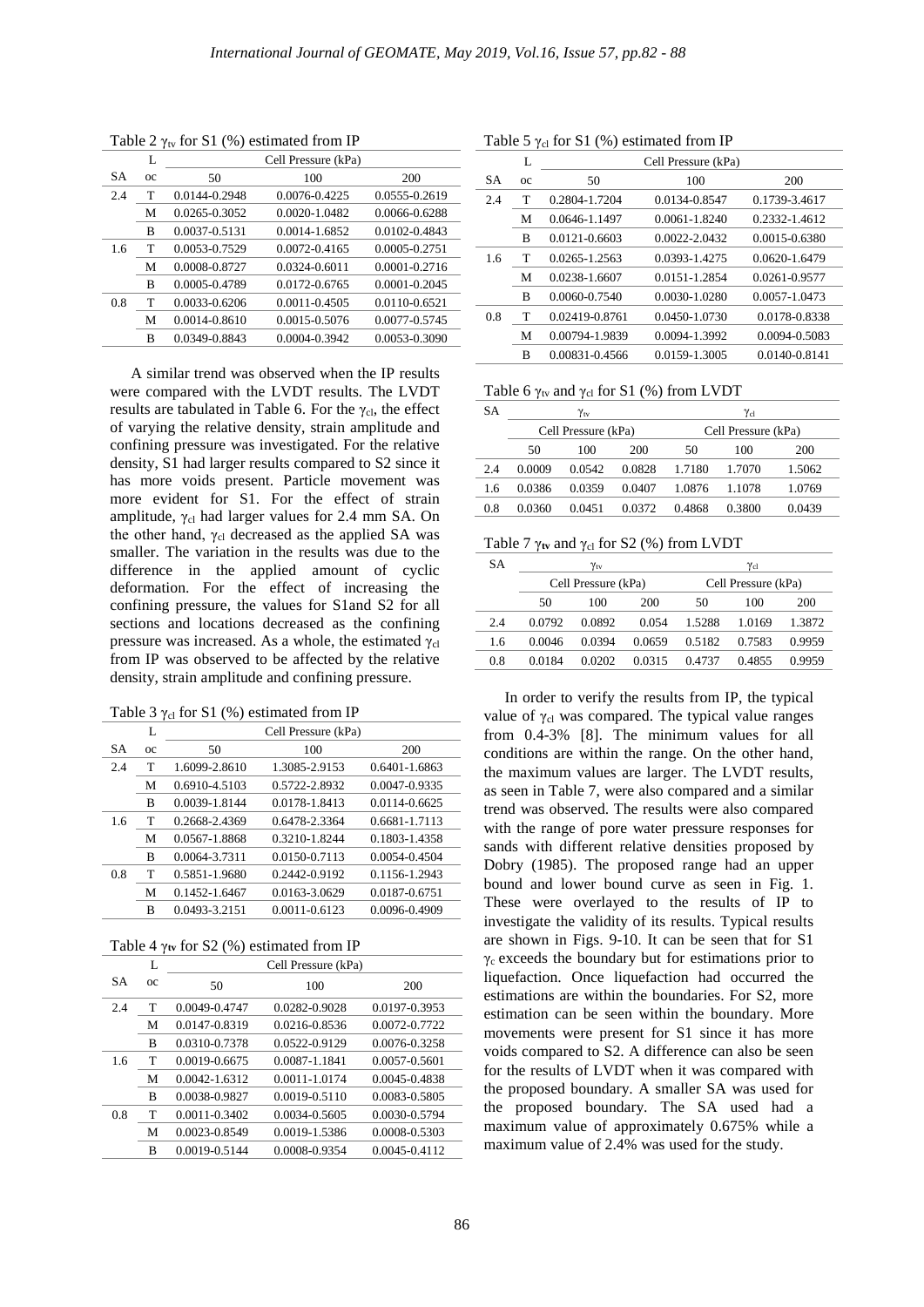|     | L           | Cell Pressure (kPa) |                   |                   |  |  |
|-----|-------------|---------------------|-------------------|-------------------|--|--|
| SА  | $_{\alpha}$ | 50                  | 100               | 200               |  |  |
| 2.4 | т           | 0.0144-0.2948       | 0.0076-0.4225     | 0.0555-0.2619     |  |  |
|     | M           | 0.0265-0.3052       | 0.0020-1.0482     | 0.0066-0.6288     |  |  |
|     | B           | 0.0037-0.5131       | 0.0014-1.6852     | 0.0102-0.4843     |  |  |
| 1.6 | т           | 0.0053-0.7529       | 0.0072-0.4165     | 0.0005-0.2751     |  |  |
|     | M           | 0.0008-0.8727       | $0.0324 - 0.6011$ | $0.0001 - 0.2716$ |  |  |
|     | B           | 0.0005-0.4789       | 0.0172-0.6765     | 0.0001-0.2045     |  |  |
| 0.8 | T           | 0.0033-0.6206       | $0.0011 - 0.4505$ | 0.0110-0.6521     |  |  |
|     | M           | 0.0014-0.8610       | 0.0015-0.5076     | 0.0077-0.5745     |  |  |
|     | B           | 0.0349-0.8843       | $0.0004 - 0.3942$ | 0.0053-0.3090     |  |  |

Table 2  $\gamma$ <sub>tv</sub> for S1 (%) estimated from IP

A similar trend was observed when the IP results were compared with the LVDT results. The LVDT results are tabulated in Table 6. For the  $\gamma_{\text{cl}}$ , the effect of varying the relative density, strain amplitude and confining pressure was investigated. For the relative density, S1 had larger results compared to S2 since it has more voids present. Particle movement was more evident for S1. For the effect of strain amplitude,  $\gamma_{\text{cl}}$  had larger values for 2.4 mm SA. On the other hand,  $\gamma_{\rm cl}$  decreased as the applied SA was smaller. The variation in the results was due to the difference in the applied amount of cyclic deformation. For the effect of increasing the confining pressure, the values for S1and S2 for all sections and locations decreased as the confining pressure was increased. As a whole, the estimated  $\gamma_{cl}$ from IP was observed to be affected by the relative density, strain amplitude and confining pressure.

Table 3  $\gamma$ <sub>cl</sub> for S1 (%) estimated from IP

|           | L           | Cell Pressure (kPa) |               |               |  |  |
|-----------|-------------|---------------------|---------------|---------------|--|--|
| <b>SA</b> | $_{\alpha}$ | 50                  | 100           | 200           |  |  |
| 2.4       | т           | 1.6099-2.8610       | 1.3085-2.9153 | 0.6401-1.6863 |  |  |
|           | M           | 0.6910-4.5103       | 0.5722-2.8932 | 0.0047-0.9335 |  |  |
|           | B           | 0.0039-1.8144       | 0.0178-1.8413 | 0.0114-0.6625 |  |  |
| 1.6       | т           | 0.2668-2.4369       | 0.6478-2.3364 | 0.6681-1.7113 |  |  |
|           | M           | 0.0567-1.8868       | 0.3210-1.8244 | 0.1803-1.4358 |  |  |
|           | B           | 0.0064-3.7311       | 0.0150-0.7113 | 0.0054-0.4504 |  |  |
| 0.8       | т           | 0.5851-1.9680       | 0.2442-0.9192 | 0.1156-1.2943 |  |  |
|           | M           | 0.1452-1.6467       | 0.0163-3.0629 | 0.0187-0.6751 |  |  |
|           | B           | 0.0493-3.2151       | 0.0011-0.6123 | 0.0096-0.4909 |  |  |

Table 4 γ**tv** for S2 (%) estimated from IP

|           | L       | Cell Pressure (kPa) |               |                   |  |  |  |
|-----------|---------|---------------------|---------------|-------------------|--|--|--|
| <b>SA</b> | $_{oc}$ | 50                  | 100           | 200               |  |  |  |
| 2.4       | T       | 0.0049-0.4747       | 0.0282-0.9028 | 0.0197-0.3953     |  |  |  |
|           | М       | 0.0147-0.8319       | 0.0216-0.8536 | 0.0072-0.7722     |  |  |  |
|           | B       | 0.0310-0.7378       | 0.0522-0.9129 | 0.0076-0.3258     |  |  |  |
| 1.6       | T       | 0.0019-0.6675       | 0.0087-1.1841 | 0.0057-0.5601     |  |  |  |
|           | М       | $0.0042 - 1.6312$   | 0.0011-1.0174 | 0.0045-0.4838     |  |  |  |
|           | B       | 0.0038-0.9827       | 0.0019-0.5110 | 0.0083-0.5805     |  |  |  |
| 0.8       | T       | 0.0011-0.3402       | 0.0034-0.5605 | 0.0030-0.5794     |  |  |  |
|           | М       | 0.0023-0.8549       | 0.0019-1.5386 | 0.0008-0.5303     |  |  |  |
|           | B       | 0.0019-0.5144       | 0.0008-0.9354 | $0.0045 - 0.4112$ |  |  |  |

SA L oc Cell Pressure (kPa) 50 100 200 2.4 T 0.2804-1.7204 0.0134-0.8547 0.1739-3.4617 M 0.0646-1.1497 0.0061-1.8240 0.2332-1.4612 B 0.0121-0.6603 0.0022-2.0432 0.0015-0.6380 1.6 T 0.0265-1.2563 0.0393-1.4275 0.0620-1.6479 M 0.0238-1.6607 0.0151-1.2854 0.0261-0.9577 B 0.0060-0.7540 0.0030-1.0280 0.0057-1.0473 0.8 T 0.02419-0.8761 0.0450-1.0730 0.0178-0.8338 M 0.00794-1.9839 0.0094-1.3992 0.0094-0.5083 B 0.00831-0.4566 0.0159-1.3005 0.0140-0.8141

## Table 5  $\gamma_{\text{cl}}$  for S1 (%) estimated from IP

Table 6  $\gamma_{\text{tv}}$  and  $\gamma_{\text{cl}}$  for S1 (%) from LVDT

| SА  | $\gamma_{\rm tv}$   |        |        | $\gamma_{\rm cl}$   |        |        |
|-----|---------------------|--------|--------|---------------------|--------|--------|
|     | Cell Pressure (kPa) |        |        | Cell Pressure (kPa) |        |        |
|     | 50                  | 100    | 200    | 50                  | 100    | 200    |
| 2.4 | 0.0009              | 0.0542 | 0.0828 | 1.7180              | 1.7070 | 1.5062 |
| 1.6 | 0.0386              | 0.0359 | 0.0407 | 1.0876              | 1.1078 | 1.0769 |
| 0.8 | 0.0360              | 0.0451 | 0.0372 | 0.4868              | 0.3800 | 0.0439 |

#### Table 7  $\gamma$ <sub>tv</sub> and  $\gamma$ <sub>cl</sub> for S2 (%) from LVDT

| SА  | $\gamma_{\rm tv}$   |        |                     |        | $\gamma_{\rm cl}$ |        |  |
|-----|---------------------|--------|---------------------|--------|-------------------|--------|--|
|     | Cell Pressure (kPa) |        | Cell Pressure (kPa) |        |                   |        |  |
|     | 50                  | 100    | 200                 | 50     | 100               | 200    |  |
| 2.4 | 0.0792              | 0.0892 | 0.054               | 1.5288 | 1.0169            | 1.3872 |  |
| 1.6 | 0.0046              | 0.0394 | 0.0659              | 0.5182 | 0.7583            | 0.9959 |  |
| 0.8 | 0.0184              | 0.0202 | 0.0315              | 0.4737 | 0.4855            | 0.9959 |  |

In order to verify the results from IP, the typical value of  $γ<sub>cl</sub>$  was compared. The typical value ranges from 0.4-3% [8]. The minimum values for all conditions are within the range. On the other hand, the maximum values are larger. The LVDT results, as seen in Table 7, were also compared and a similar trend was observed. The results were also compared with the range of pore water pressure responses for sands with different relative densities proposed by Dobry (1985). The proposed range had an upper bound and lower bound curve as seen in Fig. 1. These were overlayed to the results of IP to investigate the validity of its results. Typical results are shown in Figs. 9-10. It can be seen that for S1  $\gamma_c$  exceeds the boundary but for estimations prior to liquefaction. Once liquefaction had occurred the estimations are within the boundaries. For S2, more estimation can be seen within the boundary. More movements were present for S1 since it has more voids compared to S2. A difference can also be seen for the results of LVDT when it was compared with the proposed boundary. A smaller SA was used for the proposed boundary. The SA used had a maximum value of approximately 0.675% while a maximum value of 2.4% was used for the study.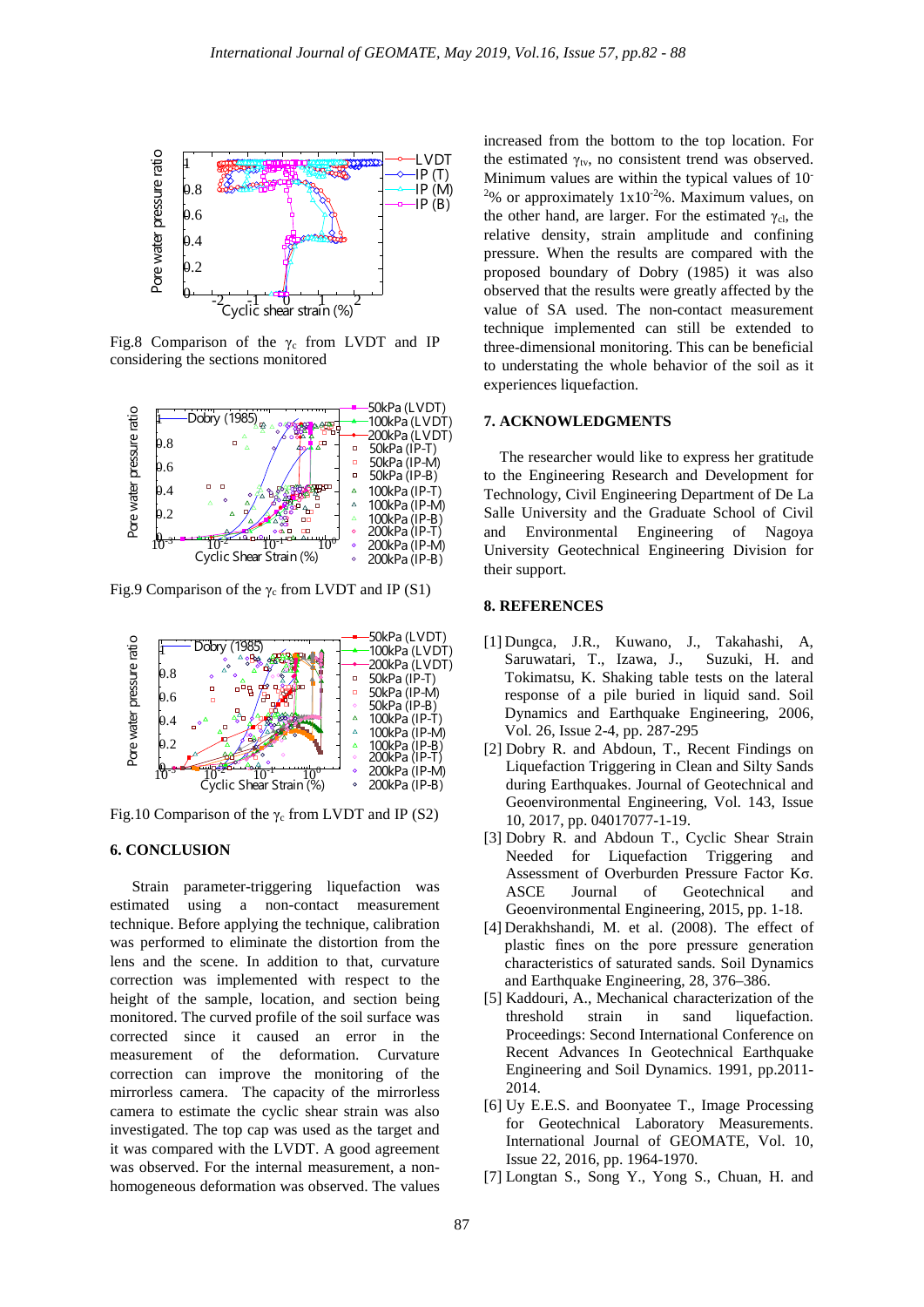

Fig.8 Comparison of the  $\gamma_c$  from LVDT and IP considering the sections monitored



Fig.9 Comparison of the  $\gamma_c$  from LVDT and IP (S1)



Fig.10 Comparison of the  $\gamma_c$  from LVDT and IP (S2)

# **6. CONCLUSION**

Strain parameter-triggering liquefaction was estimated using a non-contact measurement technique. Before applying the technique, calibration was performed to eliminate the distortion from the lens and the scene. In addition to that, curvature correction was implemented with respect to the height of the sample, location, and section being monitored. The curved profile of the soil surface was corrected since it caused an error in the measurement of the deformation. Curvature correction can improve the monitoring of the mirrorless camera. The capacity of the mirrorless camera to estimate the cyclic shear strain was also investigated. The top cap was used as the target and it was compared with the LVDT. A good agreement was observed. For the internal measurement, a nonhomogeneous deformation was observed. The values

increased from the bottom to the top location. For the estimated  $\gamma_{\text{tv}}$ , no consistent trend was observed. Minimum values are within the typical values of 10- <sup>2</sup>% or approximately  $1x10^{-2}$ %. Maximum values, on the other hand, are larger. For the estimated  $\gamma_{\text{cl}}$ , the relative density, strain amplitude and confining pressure. When the results are compared with the proposed boundary of Dobry (1985) it was also observed that the results were greatly affected by the value of SA used. The non-contact measurement technique implemented can still be extended to three-dimensional monitoring. This can be beneficial to understating the whole behavior of the soil as it experiences liquefaction.

## **7. ACKNOWLEDGMENTS**

The researcher would like to express her gratitude to the Engineering Research and Development for Technology, Civil Engineering Department of De La Salle University and the Graduate School of Civil and Environmental Engineering of Nagoya University Geotechnical Engineering Division for their support.

# **8. REFERENCES**

- [1] Dungca, J.R., Kuwano, J., Takahashi, A, Saruwatari, T., Izawa, J., Suzuki, H. and Tokimatsu, K. Shaking table tests on the lateral response of a pile buried in liquid sand. Soil Dynamics and Earthquake Engineering, 2006, Vol. 26, Issue 2-4, pp. 287-295
- [2] Dobry R. and Abdoun, T., Recent Findings on Liquefaction Triggering in Clean and Silty Sands during Earthquakes. Journal of Geotechnical and Geoenvironmental Engineering, Vol. 143, Issue 10, 2017, pp. 04017077-1-19.
- [3] Dobry R. and Abdoun T., Cyclic Shear Strain Needed for Liquefaction Triggering and Assessment of Overburden Pressure Factor Kσ. ASCE Journal of Geotechnical and Geoenvironmental Engineering, 2015, pp. 1-18.
- [4] Derakhshandi, M. et al. (2008). The effect of plastic fines on the pore pressure generation characteristics of saturated sands. Soil Dynamics and Earthquake Engineering, 28, 376–386.
- [5] Kaddouri, A., Mechanical characterization of the threshold strain in sand liquefaction. Proceedings: Second International Conference on Recent Advances In Geotechnical Earthquake Engineering and Soil Dynamics. 1991, pp.2011- 2014.
- [6] Uy E.E.S. and Boonyatee T., Image Processing for Geotechnical Laboratory Measurements. International Journal of GEOMATE, Vol. 10, Issue 22, 2016, pp. 1964-1970.
- [7] Longtan S., Song Y., Yong S., Chuan, H. and